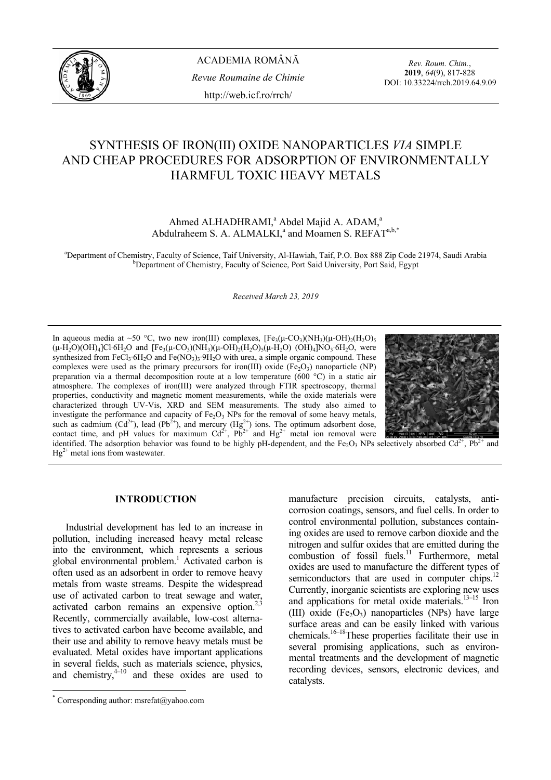

*Rev. Roum. Chim.*, **2019**, *64*(9), 817-828 DOI: 10.33224/rrch.2019.64.9.09

# SYNTHESIS OF IRON(III) OXIDE NANOPARTICLES *VIA* SIMPLE AND CHEAP PROCEDURES FOR ADSORPTION OF ENVIRONMENTALLY HARMFUL TOXIC HEAVY METALS

Ahmed ALHADHRAMI,<sup>a</sup> Abdel Majid A. ADAM,<sup>a</sup> Abdulraheem S. A. ALMALKI,<sup>a</sup> and Moamen S. REFAT<sup>a,b,\*</sup>

<sup>a</sup>Department of Chemistry, Faculty of Science, Taif University, Al-Hawiah, Taif, P.O. Box 888 Zip Code 21974, Saudi Arabia b<br>b b popertment of Chemistry, Faculty of Science, Port Said University, Port Said, Fourt <sup>b</sup>Department of Chemistry, Faculty of Science, Port Said University, Port Said, Egypt

*Received March 23, 2019*

In aqueous media at ~50 °C, two new iron(III) complexes,  $[Fe_3(\mu$ -CO<sub>3</sub>)(NH<sub>3</sub>)( $\mu$ -OH)<sub>2</sub>(H<sub>2</sub>O)<sub>5</sub>  $(\mu - H_2O)(OH)_4|Cl·6H_2O$  and  $[Fe_3(\mu - CO_3)(NH_3)(\mu - OH)_2(H_2O)_5(\mu - H_2O)$   $(OH)_4|NO_3·6H_2O$ , were synthesized from FeCl<sub>3</sub>·6H<sub>2</sub>O and Fe( $NO<sub>3</sub>$ )<sub>3</sub>·9H<sub>2</sub>O with urea, a simple organic compound. These complexes were used as the primary precursors for iron(III) oxide (Fe<sub>2</sub>O<sub>3</sub>) nanoparticle (NP) preparation via a thermal decomposition route at a low temperature (600 °C) in a static air atmosphere. The complexes of iron(III) were analyzed through FTIR spectroscopy, thermal properties, conductivity and magnetic moment measurements, while the oxide materials were characterized through UV-Vis, XRD and SEM measurements. The study also aimed to investigate the performance and capacity of  $Fe<sub>2</sub>O<sub>3</sub>$  NPs for the removal of some heavy metals, such as cadmium (Cd<sup>2+</sup>), lead (Pb<sup>2+</sup>), and mercury (Hg<sup>2+</sup>) ions. The optimum adsorbent dose, contact time, and pH values for maximum  $Cd^{2+}$ ,  $Pb^{2+}$  and  $Hg^{2+}$  metal ion removal were



identified. The adsorption behavior was found to be highly pH-dependent, and the Fe<sub>2</sub>O<sub>3</sub> NPs selectively absorbed  $Cd^{2+}$ , Pb<sup>2+</sup> and  $He^{2+}$  metal ions from wastewater.

## **INTRODUCTION\***

Industrial development has led to an increase in pollution, including increased heavy metal release into the environment, which represents a serious global environmental problem.<sup>1</sup> Activated carbon is often used as an adsorbent in order to remove heavy metals from waste streams. Despite the widespread use of activated carbon to treat sewage and water, activated carbon remains an expensive option. $2.3$ Recently, commercially available, low-cost alternatives to activated carbon have become available, and their use and ability to remove heavy metals must be evaluated. Metal oxides have important applications in several fields, such as materials science, physics, and chemistry, $4^{-10}$  and these oxides are used to

 $\overline{a}$ 

manufacture precision circuits, catalysts, anticorrosion coatings, sensors, and fuel cells. In order to control environmental pollution, substances containing oxides are used to remove carbon dioxide and the nitrogen and sulfur oxides that are emitted during the combustion of fossil fuels.<sup>11</sup> Furthermore, metal oxides are used to manufacture the different types of semiconductors that are used in computer chips.<sup>12</sup> Currently, inorganic scientists are exploring new uses and applications for metal oxide materials.<sup>13–15</sup> Iron (III) oxide  $(Fe<sub>2</sub>O<sub>3</sub>)$  nanoparticles (NPs) have large surface areas and can be easily linked with various chemicals.16–18These properties facilitate their use in several promising applications, such as environmental treatments and the development of magnetic recording devices, sensors, electronic devices, and catalysts.

<sup>\*</sup> Corresponding author: msrefat@yahoo.com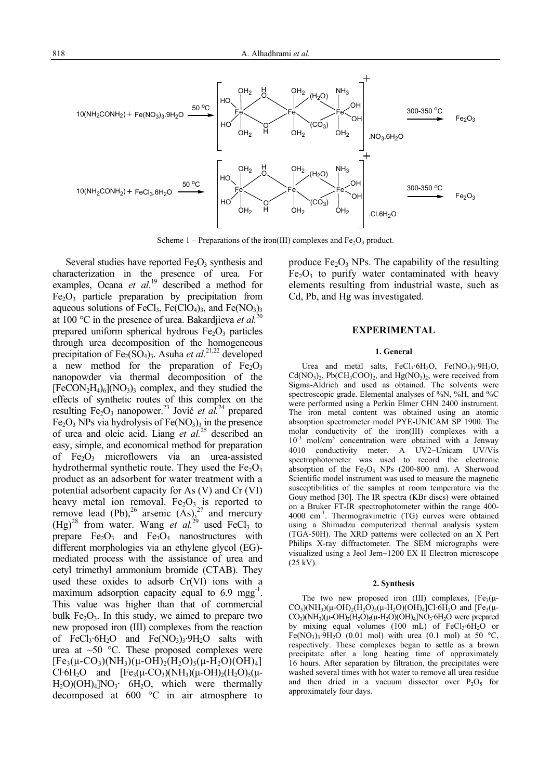

Scheme  $1$  – Preparations of the iron(III) complexes and  $Fe<sub>2</sub>O<sub>3</sub>$  product.

Several studies have reported  $Fe<sub>2</sub>O<sub>3</sub>$  synthesis and characterization in the presence of urea. For examples, Ocana *et al.*19 described a method for  $Fe<sub>2</sub>O<sub>3</sub>$  particle preparation by precipitation from aqueous solutions of FeCl<sub>3</sub>, Fe(ClO<sub>4</sub>)<sub>3</sub>, and Fe(NO<sub>3</sub>)<sub>3</sub> at 100 °C in the presence of urea. Bakardjieva *et al.*<sup>20</sup> prepared uniform spherical hydrous  $Fe<sub>2</sub>O<sub>3</sub>$  particles through urea decomposition of the homogeneous precipitation of Fe<sub>2</sub>(SO<sub>4</sub>)<sub>3</sub>. Asuha *et al.*<sup>21,22</sup> developed a new method for the preparation of  $Fe<sub>2</sub>O<sub>3</sub>$ nanopowder via thermal decomposition of the  $[FeCON<sub>2</sub>H<sub>4</sub>)<sub>6</sub>](NO<sub>3</sub>)<sub>3</sub> complex, and they studied the$ effects of synthetic routes of this complex on the resulting Fe<sub>2</sub>O<sub>3</sub> nanopower.<sup>23</sup> Jović *et al.*<sup>24</sup> prepared Fe<sub>2</sub>O<sub>3</sub> NPs via hydrolysis of Fe(NO<sub>3</sub>)<sub>3</sub> in the presence of urea and oleic acid. Liang *et al.*25 described an easy, simple, and economical method for preparation of  $Fe<sub>2</sub>O<sub>3</sub>$  microflowers via an urea-assisted hydrothermal synthetic route. They used the  $Fe<sub>2</sub>O<sub>3</sub>$ product as an adsorbent for water treatment with a potential adsorbent capacity for As (V) and Cr (VI) heavy metal ion removal.  $Fe<sub>2</sub>O<sub>3</sub>$  is reported to remove lead (Pb),<sup>26</sup> arsenic  $(As)$ ,<sup>27</sup> and mercury  $(Hg)<sup>28</sup>$  from water. Wang *et al.*<sup>29</sup> used FeCl<sub>3</sub> to prepare  $Fe<sub>2</sub>O<sub>3</sub>$  and  $Fe<sub>3</sub>O<sub>4</sub>$  nanostructures with different morphologies via an ethylene glycol (EG) mediated process with the assistance of urea and cetyl trimethyl ammonium bromide (CTAB). They used these oxides to adsorb Cr(VI) ions with a maximum adsorption capacity equal to 6.9 mgg<sup>-1</sup>. This value was higher than that of commercial bulk  $Fe<sub>2</sub>O<sub>3</sub>$ . In this study, we aimed to prepare two new proposed iron (III) complexes from the reaction of  $FeCl<sub>3</sub>·6H<sub>2</sub>O$  and  $Fe(NO<sub>3</sub>)<sub>3</sub>·9H<sub>2</sub>O$  salts with urea at  $\sim 50$  °C. These proposed complexes were  $[Fe<sub>3</sub>(\mu$ -CO<sub>3</sub>)(NH<sub>3</sub>)( $\mu$ -OH)<sub>2</sub>(H<sub>2</sub>O)<sub>5</sub>( $\mu$ -H<sub>2</sub>O)(OH)<sub>4</sub>] Cl·6H<sub>2</sub>O and  $[Fe_3(\mu$ -CO<sub>3</sub>)(NH<sub>3</sub>)( $\mu$ -OH)<sub>2</sub>(H<sub>2</sub>O)<sub>5</sub>( $\mu$ - $H_2O$ )( $OH$ )<sub>4</sub>]NO<sub>3</sub>·  $6H_2O$ , which were thermally decomposed at 600 °C in air atmosphere to

produce  $Fe<sub>2</sub>O<sub>3</sub>$  NPs. The capability of the resulting  $Fe<sub>2</sub>O<sub>3</sub>$  to purify water contaminated with heavy elements resulting from industrial waste, such as Cd, Pb, and Hg was investigated.

## **EXPERIMENTAL**

#### **1. General**

Urea and metal salts,  $FeCl<sub>3</sub>·6H<sub>2</sub>O$ ,  $Fe(NO<sub>3</sub>)<sub>3</sub>·9H<sub>2</sub>O$ ,  $Cd(NO<sub>3</sub>)<sub>2</sub>$ , Pb(CH<sub>3</sub>COO)<sub>2</sub>, and Hg(NO<sub>3</sub>)<sub>2</sub>, were received from Sigma-Aldrich and used as obtained. The solvents were spectroscopic grade. Elemental analyses of %N, %H, and %C were performed using a Perkin Elmer CHN 2400 instrument. The iron metal content was obtained using an atomic absorption spectrometer model PYE-UNICAM SP 1900. The molar conductivity of the iron(III) complexes with a 10<sup>-3</sup> mol/cm<sup>3</sup> concentration were obtained with a Jenway 4010 conductivity meter. A UV2−Unicam UV/Vis spectrophotometer was used to record the electronic absorption of the  $Fe<sub>2</sub>O<sub>3</sub>$  NPs (200-800 nm). A Sherwood Scientific model instrument was used to measure the magnetic susceptibilities of the samples at room temperature via the Gouy method [30]. The IR spectra (KBr discs) were obtained on a Bruker FT-IR spectrophotometer within the range 400- 4000 cm-1. Thermogravimetric (TG) curves were obtained using a Shimadzu computerized thermal analysis system (TGA-50H). The XRD patterns were collected on an X Pert Philips X-ray diffractometer. The SEM micrographs were visualized using a Jeol Jem−1200 EX II Electron microscope (25 kV).

#### **2. Synthesis**

The two new proposed iron (III) complexes,  $[Fe<sub>3</sub>(\mu-$ CO<sub>3</sub>)(NH<sub>3</sub>)( $\mu$ -OH)<sub>2</sub>(H<sub>2</sub>O)<sub>5</sub>( $\mu$ -H<sub>2</sub>O)(OH)<sub>4</sub>]Cl·6H<sub>2</sub>O and [Fe<sub>3</sub>( $\mu$ - $CO<sub>3</sub>)(NH<sub>3</sub>)(\mu-OH)<sub>2</sub>(H<sub>2</sub>O)<sub>5</sub>(\mu-H<sub>2</sub>O)(OH)<sub>4</sub>]NO<sub>3</sub>·6H<sub>2</sub>O were prepared$ by mixing equal volumes (100 mL) of  $FeCl<sub>3</sub>·6H<sub>2</sub>O$  or Fe(NO<sub>3</sub>)<sub>3</sub>·9H<sub>2</sub>O (0.01 mol) with urea (0.1 mol) at 50 °C, respectively. These complexes began to settle as a brown precipitate after a long heating time of approximately 16 hours. After separation by filtration, the precipitates were washed several times with hot water to remove all urea residue and then dried in a vacuum dissector over  $P_2O_5$  for approximately four days.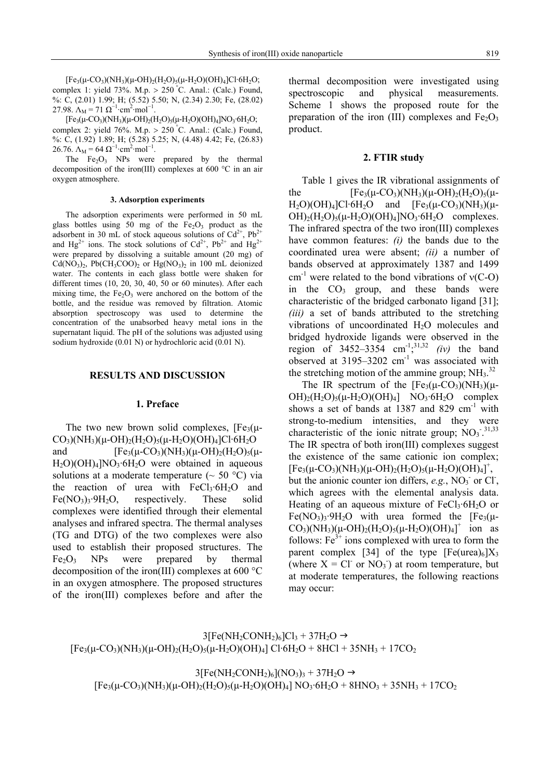$[Fe<sub>3</sub>(\mu$ -CO<sub>3</sub>)(NH<sub>3</sub>)( $\mu$ -OH)<sub>2</sub>(H<sub>2</sub>O)<sub>5</sub>( $\mu$ -H<sub>2</sub>O)(OH)<sub>4</sub>]Cl·6H<sub>2</sub>O; complex 1: yield 73%. M.p.  $> 250$  °C. Anal.: (Calc.) Found, %: C, (2.01) 1.99; H; (5.52) 5.50; N, (2.34) 2.30; Fe, (28.02) 27.98.  $\Lambda_M = 71 \Omega^{-1} \cdot \text{cm}^2 \cdot \text{mol}^{-1}$ .

 $[Fe_3(\mu$ -CO<sub>3</sub>)(NH<sub>3</sub>)( $\mu$ -OH)<sub>2</sub>(H<sub>2</sub>O)<sub>5</sub>( $\mu$ -H<sub>2</sub>O)(OH)<sub>4</sub>]NO<sub>3</sub>·6H<sub>2</sub>O; complex 2: yield 76%. M.p.  $> 250^{\circ}$ C. Anal.: (Calc.) Found, %: C, (1.92) 1.89; H; (5.28) 5.25; N, (4.48) 4.42; Fe, (26.83) 26.76.  $\Lambda_M = 64 \Omega^{-1} \cdot \text{cm}^2 \cdot \text{mol}^{-1}$ .

The  $Fe<sub>2</sub>O<sub>3</sub>$  NPs were prepared by the thermal decomposition of the iron(III) complexes at 600 °C in an air oxygen atmosphere.

#### **3. Adsorption experiments**

The adsorption experiments were performed in 50 mL glass bottles using 50 mg of the  $Fe<sub>2</sub>O<sub>3</sub>$  product as the adsorbent in 30 mL of stock aqueous solutions of  $Cd^{2+}$ , Pb<sup>2</sup> and  $Hg^{2+}$  ions. The stock solutions of  $Cd^{2+}$ ,  $Pb^{2+}$  and  $Hg^{2+}$ were prepared by dissolving a suitable amount (20 mg) of  $Cd(NO<sub>3</sub>)<sub>2</sub>$ , Pb(CH<sub>3</sub>COO)<sub>2</sub> or Hg(NO<sub>3</sub>)<sub>2</sub> in 100 mL deionized water. The contents in each glass bottle were shaken for different times (10, 20, 30, 40, 50 or 60 minutes). After each mixing time, the  $Fe<sub>2</sub>O<sub>3</sub>$  were anchored on the bottom of the bottle, and the residue was removed by filtration. Atomic absorption spectroscopy was used to determine the concentration of the unabsorbed heavy metal ions in the supernatant liquid. The pH of the solutions was adjusted using sodium hydroxide (0.01 N) or hydrochloric acid (0.01 N).

#### **RESULTS AND DISCUSSION**

#### **1. Preface**

The two new brown solid complexes,  $[Fe<sub>3</sub>(\mu CO_3$ )(NH<sub>3</sub>)(μ-OH)<sub>2</sub>(H<sub>2</sub>O)<sub>5</sub>(μ-H<sub>2</sub>O)(OH)<sub>4</sub>]Cl·6H<sub>2</sub>O and  $[Fe_3(\mu$ -CO<sub>3</sub>)(NH<sub>3</sub>)( $\mu$ -OH)<sub>2</sub>(H<sub>2</sub>O)<sub>5</sub>( $\mu$ - $H_2O(OH)_4[NO_3·6H_2O$  were obtained in aqueous solutions at a moderate temperature ( $\sim$  50 °C) via the reaction of urea with  $FeCl<sub>3</sub>·6H<sub>2</sub>O$  and  $Fe(NO_3)$ <sub>3</sub>·9H<sub>2</sub>O, respectively. These solid complexes were identified through their elemental analyses and infrared spectra. The thermal analyses (TG and DTG) of the two complexes were also used to establish their proposed structures. The  $Fe<sub>2</sub>O<sub>3</sub>$  NPs were prepared by thermal decomposition of the iron(III) complexes at 600 °C in an oxygen atmosphere. The proposed structures of the iron(III) complexes before and after the thermal decomposition were investigated using spectroscopic and physical measurements. Scheme 1 shows the proposed route for the preparation of the iron (III) complexes and  $Fe<sub>2</sub>O<sub>3</sub>$ product.

## **2. FTIR study**

Table 1 gives the IR vibrational assignments of the  $[Fe_3(\mu$ -CO<sub>3</sub>)(NH<sub>3</sub>)( $\mu$ -OH)<sub>2</sub>(H<sub>2</sub>O)<sub>5</sub>( $\mu$ - $H_2O$ )(OH)<sub>4</sub>]Cl·6H<sub>2</sub>O and [Fe<sub>3</sub>( $\mu$ -CO<sub>3</sub>)(NH<sub>3</sub>)( $\mu$ - $OH)_2(H_2O)_5(\mu$ -H<sub>2</sub>O)(OH)<sub>4</sub>]NO<sub>3</sub>·6H<sub>2</sub>O complexes. The infrared spectra of the two iron(III) complexes have common features: *(i)* the bands due to the coordinated urea were absent; *(ii)* a number of bands observed at approximately 1387 and 1499 cm<sup>-1</sup> were related to the bond vibrations of  $v(C-O)$ in the  $CO<sub>3</sub>$  group, and these bands were characteristic of the bridged carbonato ligand [31]; *(iii)* a set of bands attributed to the stretching vibrations of uncoordinated H<sub>2</sub>O molecules and bridged hydroxide ligands were observed in the region of  $3452 - 3354$  cm<sup>-1</sup>,<sup>31,32</sup> *(iv)* the band observed at  $3195-3202$  cm<sup>-1</sup> was associated with the stretching motion of the ammine group;  $NH<sub>3</sub>$ .<sup>32</sup>

The IR spectrum of the  $[Fe_3(\mu$ -CO<sub>3</sub>)(NH<sub>3</sub>)( $\mu$ - $OH)_2(H_2O)_5(\mu-H_2O)(OH)_4]$  NO<sub>3</sub>·6H<sub>2</sub>O complex shows a set of bands at 1387 and 829  $cm^{-1}$  with strong-to-medium intensities, and they were characteristic of the ionic nitrate group;  $\text{NO}_3$ <sup>-31,33</sup> The IR spectra of both iron(III) complexes suggest the existence of the same cationic ion complex;  $[Fe<sub>3</sub>(\mu$ -CO<sub>3</sub>)(NH<sub>3</sub>)( $\mu$ -OH)<sub>2</sub>(H<sub>2</sub>O)<sub>5</sub>( $\mu$ -H<sub>2</sub>O)(OH)<sub>4</sub>]<sup>+</sup>, but the anionic counter ion differs,  $e.g., NO<sub>3</sub>$  or Cl, which agrees with the elemental analysis data. Heating of an aqueous mixture of  $FeCl<sub>3</sub>·6H<sub>2</sub>O$  or  $Fe(NO_3)$ <sub>3</sub>·9H<sub>2</sub>O with urea formed the  $[Fe_3(\mu CO_3$ )(NH<sub>3</sub>)( $\mu$ -OH)<sub>2</sub>(H<sub>2</sub>O)<sub>5</sub>( $\mu$ -H<sub>2</sub>O)(OH)<sub>4</sub>]<sup>+</sup> ion as follows:  $Fe<sup>3+</sup>$  ions complexed with urea to form the parent complex [34] of the type  $[Fe(urea)_6]X_3$ (where  $X = CI$  or  $NO<sub>3</sub>$ ) at room temperature, but at moderate temperatures, the following reactions may occur:

$$
3[Fe(NH_2CONH_2)_6]Cl_3 + 37H_2O \rightarrow
$$
  
[Fe<sub>3</sub>( $\mu$ -CO<sub>3</sub>)(NH<sub>3</sub>)( $\mu$ -OH)<sub>2</sub>(H<sub>2</sub>O)<sub>5</sub>( $\mu$ -H<sub>2</sub>O)(OH)<sub>4</sub>] Cl·6H<sub>2</sub>O + 8HCl + 35NH<sub>3</sub> + 17CO<sub>2</sub>

 $3[Fe(NH<sub>2</sub>CONH<sub>2</sub>)<sub>6</sub>](NO<sub>3</sub>)<sub>3</sub> + 37H<sub>2</sub>O \rightarrow$  $[Fe_3(\mu$ -CO<sub>3</sub>)(NH<sub>3</sub>)( $\mu$ -OH)<sub>2</sub>(H<sub>2</sub>O)<sub>5</sub>( $\mu$ -H<sub>2</sub>O)(OH)<sub>4</sub>] NO<sub>3</sub>·6H<sub>2</sub>O + 8HNO<sub>3</sub> + 35NH<sub>3</sub> + 17CO<sub>2</sub>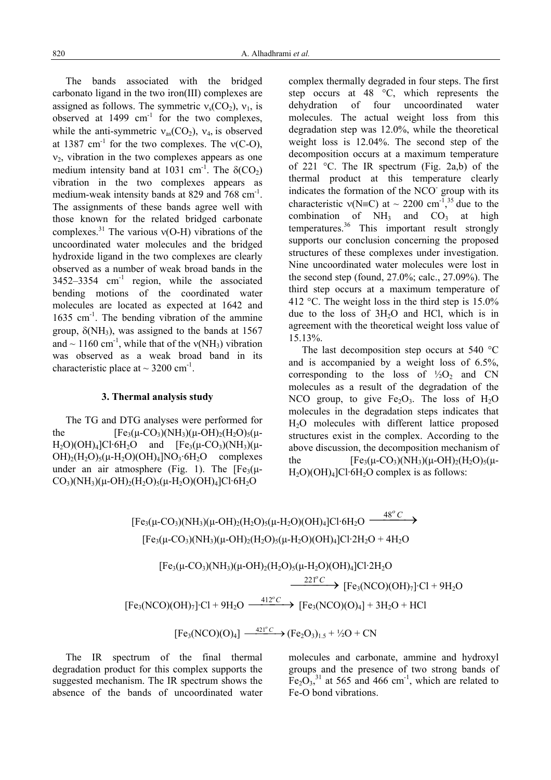The bands associated with the bridged carbonato ligand in the two iron(III) complexes are assigned as follows. The symmetric  $v_s(CO_2)$ ,  $v_1$ , is observed at  $1499 \text{ cm}^{-1}$  for the two complexes, while the anti-symmetric  $v_{as}(CO_2)$ ,  $v_4$ , is observed at 1387 cm<sup>-1</sup> for the two complexes. The  $v(C-O)$ ,  $v<sub>2</sub>$ , vibration in the two complexes appears as one medium intensity band at 1031 cm<sup>-1</sup>. The  $\delta$ (CO<sub>2</sub>) vibration in the two complexes appears as medium-weak intensity bands at 829 and 768 cm<sup>-1</sup>. The assignments of these bands agree well with those known for the related bridged carbonate complexes.<sup>31</sup> The various  $v(O-H)$  vibrations of the uncoordinated water molecules and the bridged hydroxide ligand in the two complexes are clearly observed as a number of weak broad bands in the  $3452-3354$  cm<sup>-1</sup> region, while the associated bending motions of the coordinated water molecules are located as expected at 1642 and  $1635$  cm<sup>-1</sup>. The bending vibration of the ammine group,  $\delta(NH_3)$ , was assigned to the bands at 1567 and  $\sim$  1160 cm<sup>-1</sup>, while that of the v(NH<sub>3</sub>) vibration was observed as a weak broad band in its characteristic place at  $\sim$  3200 cm<sup>-1</sup>.

## **3. Thermal analysis study**

The TG and DTG analyses were performed for the  $[Fe_3(\mu$ -CO<sub>3</sub>)(NH<sub>3</sub>)( $\mu$ -OH)<sub>2</sub>(H<sub>2</sub>O)<sub>5</sub>( $\mu$ - $H_2O$ )(OH)<sub>4</sub>]Cl·6H<sub>2</sub>O and [Fe<sub>3</sub>( $\mu$ -CO<sub>3</sub>)(NH<sub>3</sub>)( $\mu$ - $OH$ <sub>2</sub>(H<sub>2</sub>O)<sub>5</sub>( $\mu$ -H<sub>2</sub>O)(OH)<sub>4</sub>]NO<sub>3</sub>·6H<sub>2</sub>O complexes under an air atmosphere (Fig. 1). The  $[Fe<sub>3</sub>(\mu CO_3$ )(NH<sub>3</sub>)( $\mu$ -OH)<sub>2</sub>(H<sub>2</sub>O)<sub>5</sub>( $\mu$ -H<sub>2</sub>O)(OH)<sub>4</sub>]Cl·6H<sub>2</sub>O

complex thermally degraded in four steps. The first step occurs at 48 °C, which represents the dehydration of four uncoordinated water molecules. The actual weight loss from this degradation step was 12.0%, while the theoretical weight loss is 12.04%. The second step of the decomposition occurs at a maximum temperature of 221 °C. The IR spectrum (Fig. 2a,b) of the thermal product at this temperature clearly indicates the formation of the NCO- group with its characteristic  $v(N=C)$  at ~ 2200 cm<sup>-1</sup>,<sup>35</sup> due to the combination of  $NH_3$  and  $CO_3$  at high temperatures.36 This important result strongly supports our conclusion concerning the proposed structures of these complexes under investigation. Nine uncoordinated water molecules were lost in the second step (found, 27.0%; calc., 27.09%). The third step occurs at a maximum temperature of 412 °C. The weight loss in the third step is 15.0% due to the loss of  $3H<sub>2</sub>O$  and HCl, which is in agreement with the theoretical weight loss value of 15.13%.

The last decomposition step occurs at 540 °C and is accompanied by a weight loss of 6.5%, corresponding to the loss of  $\frac{1}{2}O_2$  and CN molecules as a result of the degradation of the NCO group, to give  $Fe<sub>2</sub>O<sub>3</sub>$ . The loss of  $H<sub>2</sub>O$ molecules in the degradation steps indicates that H2O molecules with different lattice proposed structures exist in the complex. According to the above discussion, the decomposition mechanism of the  $[Fe_3(\mu$ -CO<sub>3</sub>)(NH<sub>3</sub>)( $\mu$ -OH)<sub>2</sub>(H<sub>2</sub>O)<sub>5</sub>( $\mu$ - $H_2O$ )( $OH$ )<sub>4</sub>]Cl·6H<sub>2</sub>O complex is as follows:

 $[Fe<sub>3</sub>(\mu-CO<sub>3</sub>)(NH<sub>3</sub>)(\mu-OH)<sub>2</sub>(H<sub>2</sub>O)<sub>5</sub>(\mu-H<sub>2</sub>O)(OH)<sub>4</sub>]Cl·6H<sub>2</sub>O  $\xrightarrow{48^{\circ} C}$$  $[Fe_3(\mu$ -CO<sub>3</sub>)(NH<sub>3</sub>)( $\mu$ -OH)<sub>2</sub>(H<sub>2</sub>O)<sub>5</sub>( $\mu$ -H<sub>2</sub>O)(OH)<sub>4</sub>]Cl·2H<sub>2</sub>O + 4H<sub>2</sub>O  $[Fe_3(\mu$ -CO<sub>3</sub>)(NH<sub>3</sub>)( $\mu$ -OH)<sub>2</sub>(H<sub>2</sub>O)<sub>5</sub>( $\mu$ -H<sub>2</sub>O)(OH)<sub>4</sub>]Cl·2H<sub>2</sub>O

 $\longrightarrow$  [Fe<sub>3</sub>(NCO)(OH)<sub>7</sub>]·Cl + 9H<sub>2</sub>O  $[Fe_3(NCO)(OH)_7]$ ·Cl + 9H<sub>2</sub>O  $\xrightarrow{412^{\circ}C}$   $[Fe_3(NCO)(O)_4]$  + 3H<sub>2</sub>O + HCl  $[Fe<sub>3</sub>(NCO)(O)<sub>4</sub>] \xrightarrow{421^{\circ}C} (Fe<sub>2</sub>O<sub>3</sub>)<sub>1.5</sub> + \frac{1}{2}O + CN$ 

The IR spectrum of the final thermal degradation product for this complex supports the suggested mechanism. The IR spectrum shows the absence of the bands of uncoordinated water molecules and carbonate, ammine and hydroxyl groups and the presence of two strong bands of  $Fe<sub>2</sub>O<sub>3</sub><sup>31</sup>$  at 565 and 466 cm<sup>-1</sup>, which are related to Fe-O bond vibrations.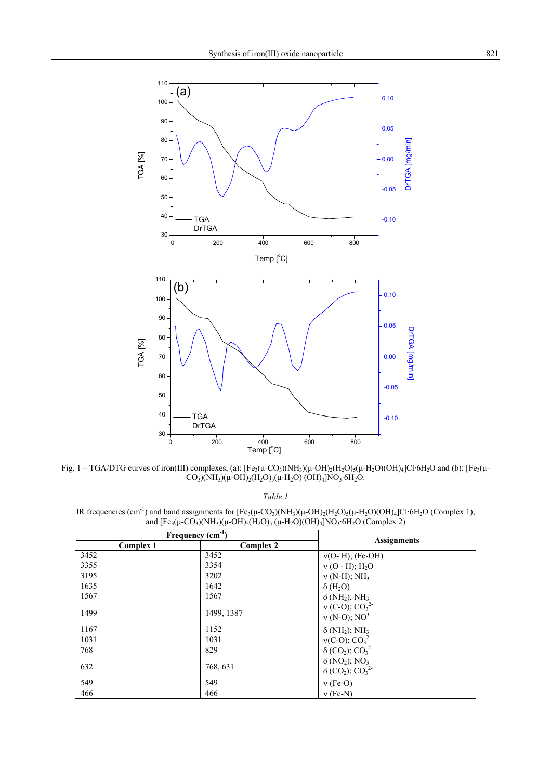

Fig. 1 – TGA/DTG curves of iron(III) complexes, (a):  $[Fe_3(\mu$ -CO<sub>3</sub>)(NH<sub>3</sub>)( $\mu$ -OH)<sub>2</sub>(H<sub>2</sub>O)<sub>5</sub>( $\mu$ -H<sub>2</sub>O)(OH)<sub>4</sub>]Cl·6H<sub>2</sub>O and (b):  $[Fe_3(\mu$ - $CO_3$ )(NH<sub>3</sub>)( $\mu$ -OH)<sub>2</sub>(H<sub>2</sub>O)<sub>5</sub>( $\mu$ -H<sub>2</sub>O) (OH)<sub>4</sub>]NO<sub>3</sub>·6H<sub>2</sub>O.

*Table 1*

IR frequencies (cm<sup>-1</sup>) and band assignments for  $[Fe_3(\mu$ -CO<sub>3</sub>)(NH<sub>3</sub>)( $\mu$ -OH)<sub>2</sub>(H<sub>2</sub>O)<sub>5</sub>( $\mu$ -H<sub>2</sub>O)(OH)<sub>4</sub>]Cl·6H<sub>2</sub>O (Complex 1), and  $[Fe_3(\mu\text{-}CO_3)(NH_3)(\mu\text{-}OH)_2(H_2O)_5(\mu\text{-}H_2O)(OH)_4[NO_3\text{-}OH_2O (Complex 2)$ 

| Frequency $(cm-1)$ |                  | <b>Assignments</b>                                                         |  |
|--------------------|------------------|----------------------------------------------------------------------------|--|
| Complex 1          | <b>Complex 2</b> |                                                                            |  |
| 3452               | 3452             | $v(O-H)$ ; (Fe-OH)                                                         |  |
| 3355               | 3354             | $v$ (O - H); $H_2O$                                                        |  |
| 3195               | 3202             | $v$ (N-H); NH <sub>3</sub>                                                 |  |
| 1635               | 1642             | $\delta$ (H <sub>2</sub> O)                                                |  |
| 1567               | 1567             | $\delta$ (NH <sub>2</sub> ); NH <sub>3</sub>                               |  |
| 1499               | 1499, 1387       | $v$ (C-O); $CO_3^2$<br>$v$ (N-O); NO <sup>3</sup>                          |  |
| 1167               | 1152             | $\delta$ (NH <sub>2</sub> ); NH <sub>3</sub>                               |  |
| 1031               | 1031             | $v(C-O); CO_3^2$<br>δ (CO <sub>2</sub> ); CO <sub>3</sub> <sup>2</sup>     |  |
| 768                | 829              |                                                                            |  |
| 632                | 768, 631         | $\delta$ (NO <sub>2</sub> ); NO <sub>3</sub><br>$\delta (CO_2)$ ; $CO_3^2$ |  |
| 549                | 549              | $v$ (Fe-O)                                                                 |  |
| 466                | 466              | $v$ (Fe-N)                                                                 |  |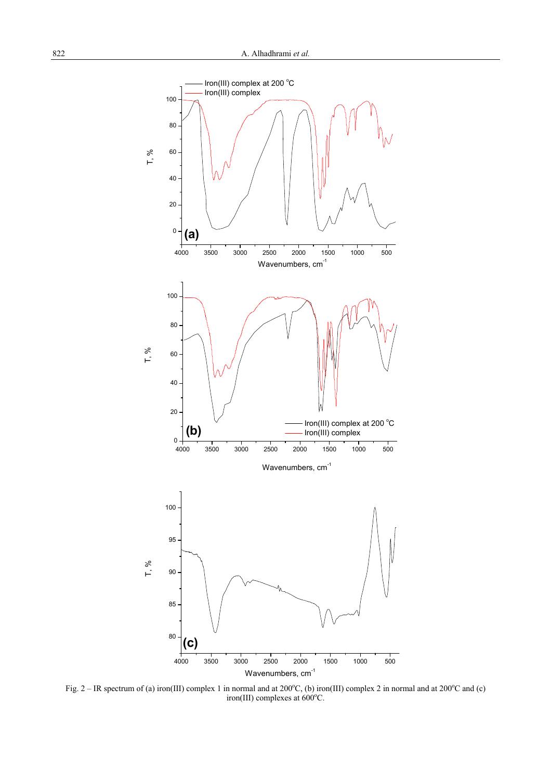

Fig. 2 – IR spectrum of (a) iron(III) complex 1 in normal and at  $200^{\circ}$ C, (b) iron(III) complex 2 in normal and at  $200^{\circ}$ C and (c) iron(III) complexes at  $600^{\circ}$ C.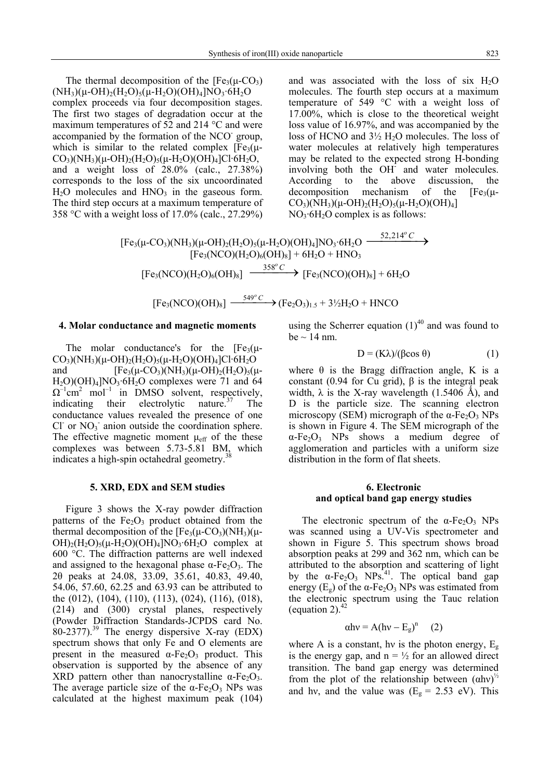The thermal decomposition of the  $[Fe<sub>3</sub>(\mu$ -CO<sub>3</sub>)  $(NH_3)(\mu$ -OH)<sub>2</sub>(H<sub>2</sub>O)<sub>5</sub>( $\mu$ -H<sub>2</sub>O)(OH)<sub>4</sub>]NO<sub>3</sub>·6H<sub>2</sub>O complex proceeds via four decomposition stages. The first two stages of degradation occur at the maximum temperatures of 52 and 214 °C and were accompanied by the formation of the NCO<sup>-</sup> group, which is similar to the related complex  $[Fe<sub>3</sub>(\mu CO_3$ )(NH<sub>3</sub>)( $\mu$ -OH)<sub>2</sub>(H<sub>2</sub>O)<sub>5</sub>( $\mu$ -H<sub>2</sub>O)(OH)<sub>4</sub>]Cl·6H<sub>2</sub>O, and a weight loss of 28.0% (calc., 27.38%) corresponds to the loss of the six uncoordinated  $H<sub>2</sub>O$  molecules and  $HNO<sub>3</sub>$  in the gaseous form. The third step occurs at a maximum temperature of 358 °C with a weight loss of 17.0% (calc., 27.29%)

and was associated with the loss of six  $H_2O$ molecules. The fourth step occurs at a maximum temperature of 549 °C with a weight loss of 17.00%, which is close to the theoretical weight loss value of 16.97%, and was accompanied by the loss of HCNO and  $3\frac{1}{2}$  H<sub>2</sub>O molecules. The loss of water molecules at relatively high temperatures may be related to the expected strong H-bonding involving both the OH<sup>-</sup> and water molecules. According to the above discussion, the decomposition mechanism of the  $[Fe<sub>3</sub>(\mu CO_3$ )(NH<sub>3</sub>)( $\mu$ -OH)<sub>2</sub>(H<sub>2</sub>O)<sub>5</sub>( $\mu$ -H<sub>2</sub>O)(OH)<sub>4</sub>]  $NO<sub>3</sub>·6H<sub>2</sub>O$  complex is as follows:

 $[Fe_3(\mu\text{-}CO_3)(NH_3)(\mu\text{-}OH)_2(H_2O)_5(\mu\text{-}H_2O)(OH)_4]NO_3\cdot 6H_2O \xrightarrow{52,214^o C} \rightarrow$  $[Fe<sub>3</sub>(NCO)(H<sub>2</sub>O)<sub>6</sub>(OH)<sub>8</sub>] + 6H<sub>2</sub>O + HNO<sub>3</sub>]$  $[Fe_3(NCO)(H_2O)_6(OH)_8] \xrightarrow{358^\circ C} [Fe_3(NCO)(OH)_8] + 6H_2O$ 

$$
[Fe3(NCO)(OH)8] \xrightarrow{549^{\circ} C} (Fe2O3)1.5 + 3\frac{1}{2}H2O + HNCO
$$

#### **4. Molar conductance and magnetic moments**

The molar conductance's for the  $[Fe<sub>3</sub>(\mu CO_3$ )(NH<sub>3</sub>)(μ-OH)<sub>2</sub>(H<sub>2</sub>O)<sub>5</sub>(μ-H<sub>2</sub>O)(OH)<sub>4</sub>]Cl·6H<sub>2</sub>O and  $[Fe_3(\mu$ -CO<sub>3</sub>)(NH<sub>3</sub>)( $\mu$ -OH)<sub>2</sub>(H<sub>2</sub>O)<sub>5</sub>( $\mu$ - $H_2O$ )(OH)<sub>4</sub>]NO<sub>3</sub>·6H<sub>2</sub>O complexes were 71 and 64  $\Omega^{-1}$ cm<sup>2</sup> mol<sup>-1</sup> in DMSO solvent, respectively, indicating their electrolytic nature.<sup>37</sup> The conductance values revealed the presence of one  $CI$  or  $NO_3$  anion outside the coordination sphere. The effective magnetic moment  $\mu_{\text{eff}}$  of the these complexes was between 5.73-5.81 BM, which indicates a high-spin octahedral geometry.<sup>3</sup>

#### **5. XRD, EDX and SEM studies**

Figure 3 shows the X-ray powder diffraction patterns of the  $Fe<sub>2</sub>O<sub>3</sub>$  product obtained from the thermal decomposition of the  $[Fe<sub>3</sub>(\mu-CO<sub>3</sub>)(NH<sub>3</sub>)(\mu OH$ <sub>2</sub>(H<sub>2</sub>O)<sub>5</sub>( $\mu$ -H<sub>2</sub>O)(OH)<sub>4</sub>]NO<sub>3</sub>·6H<sub>2</sub>O complex at 600 °C. The diffraction patterns are well indexed and assigned to the hexagonal phase  $\alpha$ -Fe<sub>2</sub>O<sub>3</sub>. The 2θ peaks at 24.08, 33.09, 35.61, 40.83, 49.40, 54.06, 57.60, 62.25 and 63.93 can be attributed to the (012), (104), (110), (113), (024), (116), (018), (214) and (300) crystal planes, respectively (Powder Diffraction Standards-JCPDS card No.  $80-2377$ ).<sup>39</sup> The energy dispersive X-ray (EDX) spectrum shows that only Fe and O elements are present in the measured  $\alpha$ -Fe<sub>2</sub>O<sub>3</sub> product. This observation is supported by the absence of any XRD pattern other than nanocrystalline  $\alpha$ -Fe<sub>2</sub>O<sub>3</sub>. The average particle size of the  $\alpha$ -Fe<sub>2</sub>O<sub>3</sub> NPs was calculated at the highest maximum peak (104) using the Scherrer equation  $(1)^{40}$  and was found to be  $\sim$  14 nm.

$$
D = (K\lambda)/(\beta \cos \theta) \tag{1}
$$

where  $\theta$  is the Bragg diffraction angle, K is a constant (0.94 for Cu grid),  $β$  is the integral peak width,  $\lambda$  is the X-ray wavelength (1.5406 Å), and D is the particle size. The scanning electron microscopy (SEM) micrograph of the  $\alpha$ -Fe<sub>2</sub>O<sub>3</sub> NPs is shown in Figure 4. The SEM micrograph of the  $\alpha$ -Fe<sub>2</sub>O<sub>3</sub> NPs shows a medium degree of agglomeration and particles with a uniform size distribution in the form of flat sheets.

## **6. Electronic and optical band gap energy studies**

The electronic spectrum of the  $\alpha$ -Fe<sub>2</sub>O<sub>3</sub> NPs was scanned using a UV-Vis spectrometer and shown in Figure 5. This spectrum shows broad absorption peaks at 299 and 362 nm, which can be attributed to the absorption and scattering of light by the  $\alpha$ -Fe<sub>2</sub>O<sub>3</sub> NPs.<sup>41</sup>. The optical band gap energy  $(E_{\circ})$  of the  $\alpha$ -Fe<sub>2</sub>O<sub>3</sub> NPs was estimated from the electronic spectrum using the Tauc relation (equation 2). $42$ 

$$
\alpha h v = A (h v - E_g)^n \quad (2)
$$

where A is a constant, hy is the photon energy,  $E_g$ is the energy gap, and  $n = \frac{1}{2}$  for an allowed direct transition. The band gap energy was determined from the plot of the relationship between  $(ahv)^{\frac{1}{2}}$ and hv, and the value was  $(E<sub>g</sub> = 2.53$  eV). This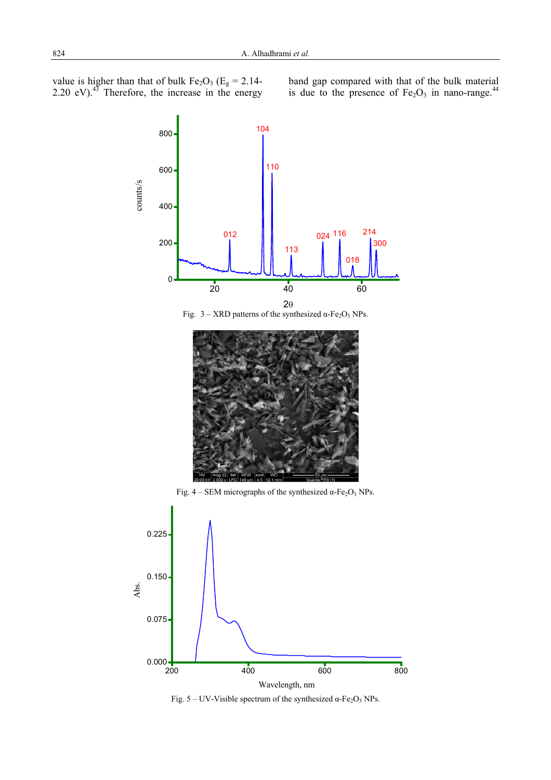value is higher than that of bulk  $Fe<sub>2</sub>O<sub>3</sub>$  (E<sub>g</sub> = 2.14-2.20 eV). $43$  Therefore, the increase in the energy band gap compared with that of the bulk material is due to the presence of  $Fe<sub>2</sub>O<sub>3</sub>$  in nano-range.<sup>44</sup>



Fig.  $5 - UV$ -Visible spectrum of the synthesized  $\alpha$ -Fe<sub>2</sub>O<sub>3</sub> NPs.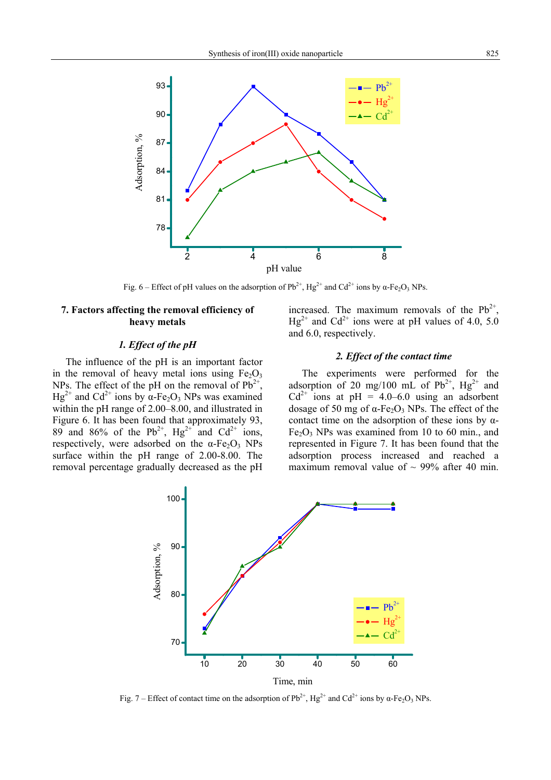

Fig. 6 – Effect of pH values on the adsorption of  $Pb^{2+}$ , Hg<sup>2+</sup> and Cd<sup>2+</sup> ions by α-Fe<sub>2</sub>O<sub>3</sub> NPs.

## **7. Factors affecting the removal efficiency of heavy metals**

## *1. Effect of the pH*

The influence of the pH is an important factor in the removal of heavy metal ions using  $Fe<sub>2</sub>O<sub>3</sub>$ NPs. The effect of the pH on the removal of  $Pb^{2+}$ ,  $Hg^{2+}$  and Cd<sup>2+</sup> ions by α-Fe<sub>2</sub>O<sub>3</sub> NPs was examined within the pH range of 2.00–8.00, and illustrated in Figure 6. It has been found that approximately 93, 89 and 86% of the  $Pb^{2+}$ , Hg<sup>2+</sup> and Cd<sup>2+</sup> ions, respectively, were adsorbed on the  $\alpha$ -Fe<sub>2</sub>O<sub>3</sub> NPs surface within the pH range of 2.00-8.00. The removal percentage gradually decreased as the pH increased. The maximum removals of the  $Pb^{2+}$ ,  $Hg^{2+}$  and Cd<sup>2+</sup> ions were at pH values of 4.0, 5.0 and 6.0, respectively.

## *2. Effect of the contact time*

The experiments were performed for the adsorption of 20 mg/100 mL of  $Pb^{2+}$ ,  $Hg^{2+}$  and  $Cd^{2+}$  ions at pH = 4.0–6.0 using an adsorbent dosage of 50 mg of  $α$ -Fe<sub>2</sub>O<sub>3</sub> NPs. The effect of the contact time on the adsorption of these ions by  $\alpha$ - $Fe<sub>2</sub>O<sub>3</sub>$  NPs was examined from 10 to 60 min., and represented in Figure 7. It has been found that the adsorption process increased and reached a maximum removal value of  $\sim$  99% after 40 min.



Fig. 7 – Effect of contact time on the adsorption of  $Pb^{2+}$ , Hg<sup>2+</sup> and Cd<sup>2+</sup> ions by α-Fe<sub>2</sub>O<sub>3</sub> NPs.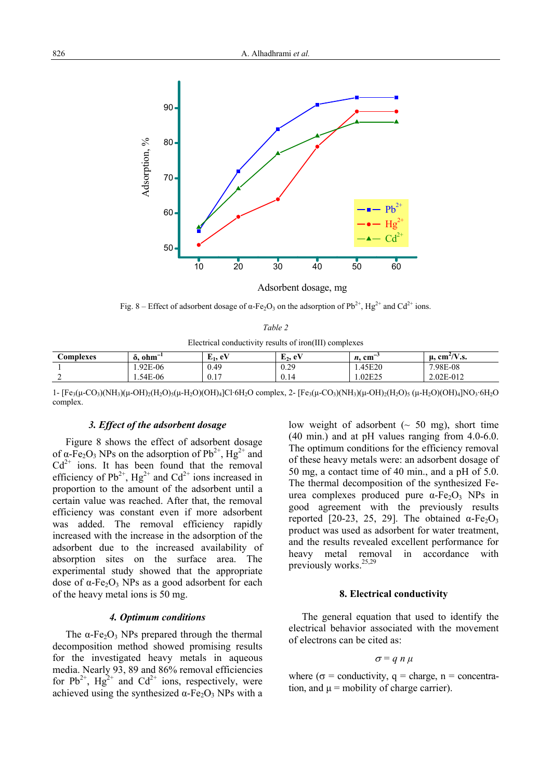

Fig. 8 – Effect of adsorbent dosage of  $\alpha$ -Fe<sub>2</sub>O<sub>3</sub> on the adsorption of Pb<sup>2+</sup>, Hg<sup>2+</sup> and Cd<sup>2+</sup> ions.

Electrical conductivity results of iron(III) complexes

| <b>€omplexes</b> | $\alpha$ , $ohm^{-1}$ | $E_1$ , eV | $E_2$ , eV         | $n$ . cm $^{-}$ | $\rm cm^2/V.s.$<br>и, |
|------------------|-----------------------|------------|--------------------|-----------------|-----------------------|
|                  | 1.92E-06              | 0.49       | 0.29               | 1.45E20         | 7.98E-08              |
|                  | 1.54E-06              | 0.17       | $\Omega$ 1<br>0.14 | 1.02E25         | 2.02E-012             |

1- [Fe<sub>3</sub>(μ-CO<sub>3</sub>)(NH<sub>3</sub>)(μ-OH)<sub>2</sub>(H<sub>2</sub>O)<sub>5</sub>(μ-H<sub>2</sub>O)(OH)<sub>4</sub>]Cl·6H<sub>2</sub>O complex, 2- [Fe<sub>3</sub>(μ-CO<sub>3</sub>)(NH<sub>3</sub>)(μ-OH)<sub>2</sub>(H<sub>2</sub>O)<sub>5</sub> (μ-H<sub>2</sub>O)(OH)<sub>4</sub>]NO<sub>3</sub>·6H<sub>2</sub>O complex.

## *3. Effect of the adsorbent dosage*

Figure 8 shows the effect of adsorbent dosage of α-Fe<sub>2</sub>O<sub>3</sub> NPs on the adsorption of  $Pb^{2+}$ , Hg<sup>2+</sup> and  $Cd^{2+}$  ions. It has been found that the removal efficiency of  $Pb^{2+}$ , Hg<sup>2+</sup> and Cd<sup>2+</sup> ions increased in proportion to the amount of the adsorbent until a certain value was reached. After that, the removal efficiency was constant even if more adsorbent was added. The removal efficiency rapidly increased with the increase in the adsorption of the adsorbent due to the increased availability of absorption sites on the surface area. The experimental study showed that the appropriate dose of  $α$ -Fe<sub>2</sub>O<sub>3</sub> NPs as a good adsorbent for each of the heavy metal ions is 50 mg.

## *4. Optimum conditions*

The  $\alpha$ -Fe<sub>2</sub>O<sub>3</sub> NPs prepared through the thermal decomposition method showed promising results for the investigated heavy metals in aqueous media. Nearly 93, 89 and 86% removal efficiencies for  $Pb^{2+}$ ,  $Hg^{2+}$  and  $Cd^{2+}$  ions, respectively, were achieved using the synthesized  $\alpha$ -Fe<sub>2</sub>O<sub>3</sub> NPs with a

low weight of adsorbent  $(~50 \text{ mg})$ , short time (40 min.) and at pH values ranging from 4.0-6.0. The optimum conditions for the efficiency removal of these heavy metals were: an adsorbent dosage of 50 mg, a contact time of 40 min., and a pH of 5.0. The thermal decomposition of the synthesized Feurea complexes produced pure  $α$ -Fe<sub>2</sub>O<sub>3</sub> NPs in good agreement with the previously results reported [20-23, 25, 29]. The obtained  $\alpha$ -Fe<sub>2</sub>O<sub>3</sub> product was used as adsorbent for water treatment, and the results revealed excellent performance for heavy metal removal in accordance with previously works.<sup>25,29</sup>

#### **8. Electrical conductivity**

The general equation that used to identify the electrical behavior associated with the movement of electrons can be cited as:

$$
\sigma = q n \mu
$$

where ( $\sigma$  = conductivity,  $a$  = charge, n = concentration, and  $\mu$  = mobility of charge carrier).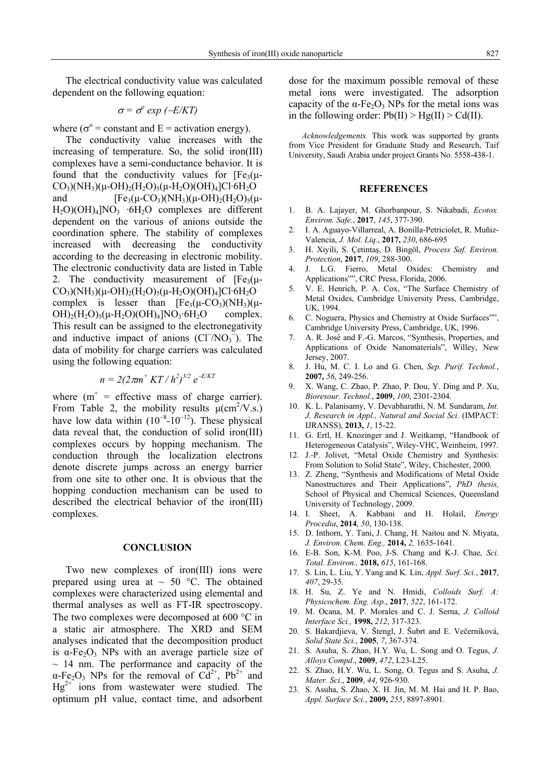The electrical conductivity value was calculated dependent on the following equation:

$$
\sigma = \sigma^{\circ} \exp \left(-E/KT\right)
$$

where ( $\sigma^{\circ}$  = constant and E = activation energy).

The conductivity value increases with the increasing of temperature. So, the solid iron(III) complexes have a semi-conductance behavior. It is found that the conductivity values for  $[Fe<sub>3</sub>(\mu CO_3$ )(NH<sub>3</sub>)( $\mu$ -OH)<sub>2</sub>(H<sub>2</sub>O)<sub>5</sub>( $\mu$ -H<sub>2</sub>O)(OH)<sub>4</sub>]Cl·6H<sub>2</sub>O and  $[Fe_3(\mu$ -CO<sub>3</sub>)(NH<sub>3</sub>)( $\mu$ -OH)<sub>2</sub>(H<sub>2</sub>O)<sub>5</sub>( $\mu$ - $H_2O(OH)_4[NO_3 \cdot 6H_2O$  complexes are different dependent on the various of anions outside the coordination sphere. The stability of complexes increased with decreasing the conductivity according to the decreasing in electronic mobility. The electronic conductivity data are listed in Table 2. The conductivity measurement of  $[Fe<sub>3</sub>(\mu CO_3$ )(NH<sub>3</sub>)( $\mu$ -OH)<sub>2</sub>(H<sub>2</sub>O)<sub>5</sub>( $\mu$ -H<sub>2</sub>O)(OH)<sub>4</sub>]Cl·6H<sub>2</sub>O complex is lesser than  $[Fe<sub>3</sub>(\mu-CO<sub>3</sub>)(NH<sub>3</sub>)(\mu OH$ <sub>2</sub>(H<sub>2</sub>O)<sub>5</sub>( $\mu$ -H<sub>2</sub>O)(OH)<sub>4</sub>]NO<sub>3</sub>·6H<sub>2</sub>O complex. This result can be assigned to the electronegativity and inductive impact of anions  $(Cl<sup>-</sup>/NO<sub>3</sub><sup>-</sup>)$ . The data of mobility for charge carriers was calculated using the following equation:

$$
n = 2(2\pi m^+ KT/h^2)^{3/2} e^{-E/KT}
$$

where  $(m^+ =$  effective mass of charge carrier). From Table 2, the mobility results  $\mu$ (cm<sup>2</sup>/V.s.) have low data within  $(10^{-8}-10^{-12})$ . These physical data reveal that, the conduction of solid iron(III) complexes occurs by hopping mechanism. The conduction through the localization electrons denote discrete jumps across an energy barrier from one site to other one. It is obvious that the hopping conduction mechanism can be used to described the electrical behavior of the iron(III) complexes.

## **CONCLUSION**

Two new complexes of iron(III) ions were prepared using urea at  $\sim 50$  °C. The obtained complexes were characterized using elemental and thermal analyses as well as FT-IR spectroscopy. The two complexes were decomposed at 600 °C in a static air atmosphere. The XRD and SEM analyses indicated that the decomposition product is  $\alpha$ -Fe<sub>2</sub>O<sub>3</sub> NPs with an average particle size of  $\sim$  14 nm. The performance and capacity of the  $\alpha$ -Fe<sub>2</sub>O<sub>3</sub> NPs for the removal of  $Cd^{2+}$ , Pb<sup>2+</sup> and  $Hg^{2+}$  ions from wastewater were studied. The optimum pH value, contact time, and adsorbent dose for the maximum possible removal of these metal ions were investigated. The adsorption capacity of the  $\alpha$ -Fe<sub>2</sub>O<sub>3</sub> NPs for the metal ions was in the following order:  $Pb(II) > Hg(II) > Cd(II)$ .

*Acknowledgements.* This work was supported by grants from Vice President for Graduate Study and Research, Taif University, Saudi Arabia under project Grants No. 5558-438-1.

## **REFERENCES**

- 1. B. A. Lajayer, M. Ghorbanpour, S. Nikabadi, *Ecotox. Environ. Safe.*, **2017**, *145*, 377-390.
- 2. I. A. Aguayo-Villarreal, A. Bonilla-Petriciolet, R. Muñiz-Valencia, *J. Mol. Liq.*, **2017,** *230*, 686-695
- 3. H. Xiyili, S. Çetintaş, D. Bingöl, *Process Saf. Environ. Protection*, **2017**, *109*, 288-300.
- 4. J. L.G. Fierro, Metal Oxides: Chemistry and Applications"", CRC Press, Florida, 2006.
- 5. V. E. Henrich, P. A. Cox, "The Surface Chemistry of Metal Oxides, Cambridge University Press, Cambridge, UK, 1994.
- 6. C. Noguera, Physics and Chemistry at Oxide Surfaces"", Cambridge University Press, Cambridge, UK, 1996.
- 7. A. R. José and F.-G. Marcos, "Synthesis, Properties, and Applications of Oxide Nanomaterials", Willey, New Jersey, 2007.
- 8. J. Hu, M. C. I. Lo and G. Chen, *Sep. Purif. Technol.*, **2007,** *56*, 249-256.
- 9. X. Wang, C. Zhao, P. Zhao, P. Dou, Y. Ding and P. Xu, *Bioresour. Technol.*, **2009**, *100*, 2301-2304.
- 10. K. L. Palanisamy, V. Devabharathi, N. M. Sundaram, *Int. J. Research in Appl., Natural and Social Sci.* (IMPACT: IJRANSS), **2013,** *1*, 15-22.
- 11. G. Ertl, H. Knozinger and J. Weitkamp, "Handbook of Heterogeneous Catalysis", Wiley-VHC, Weinheim, 1997.
- 12. J.-P. Jolivet, "Metal Oxide Chemistry and Synthesis: From Solution to Solid State", Wiley, Chichester, 2000.
- 13. Z. Zheng, "Synthesis and Modifications of Metal Oxide Nanostructures and Their Applications", *PhD thesis,* School of Physical and Chemical Sciences, Queensland University of Technology, 2009.
- 14. I. Sheet, A. Kabbani and H. Holail, *Energy Procedia*, **2014**, *50*, 130-138.
- 15. D. Inthorn, Y. Tani, J. Chang, H. Naitou and N. Miyata, *J. Environ. Chem. Eng.,* **2014,** *2,* 1635-1641.
- 16. E-B. Son, K-M. Poo, J-S. Chang and K-J. Chae, *Sci. Total. Environ.,* **2018,** *615*, 161-168.
- 17. S. Lin, L. Liu, Y. Yang and K. Lin, *Appl. Surf. Sci.*, **2017**, *407*, 29-35.
- 18. H. Su, Z. Ye and N. Hmidi, *Colloids Surf. A: Physicochem. Eng. Asp.*, **2017**, *522*, 161-172.
- 19. M. Ocana, M. P. Morales and C. J. Serna, *J. Colloid Interface Sci.,* **1998,** *212*, 317-323.
- 20. S. Bakardjieva, V. Štengl, J. Šubrt and E. Večerníková, *Solid State Sci.*, **2005**, *7*, 367-374.
- 21. S. Asuha, S. Zhao, H.Y. Wu, L. Song and O. Tegus, *J. Alloys Compd*., **2009**, *472*, L23-L25.
- 22. S. Zhao, H.Y. Wu, L. Song, O. Tegus and S. Asuha, *J. Mater. Sci*., **2009**, *44*, 926-930.
- 23. S. Asuha, S. Zhao, X. H. Jin, M. M. Hai and H. P. Bao, *Appl. Surface Sci.*, **2009,** *255*, 8897-8901.